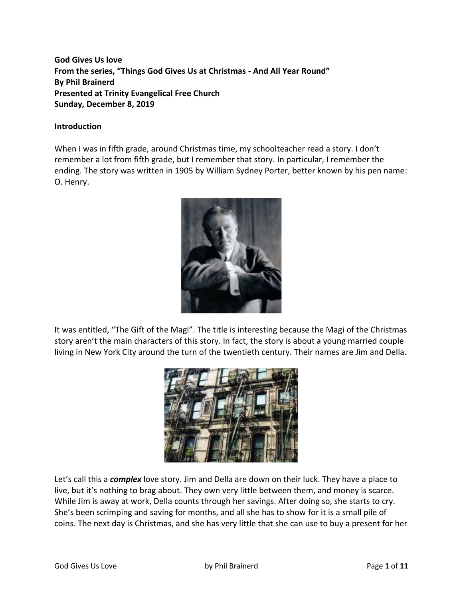**God Gives Us love From the series, "Things God Gives Us at Christmas - And All Year Round" By Phil Brainerd Presented at Trinity Evangelical Free Church Sunday, December 8, 2019**

#### **Introduction**

When I was in fifth grade, around Christmas time, my schoolteacher read a story. I don't remember a lot from fifth grade, but I remember that story. In particular, I remember the ending. The story was written in 1905 by William Sydney Porter, better known by his pen name: O. Henry.



It was entitled, "The Gift of the Magi". The title is interesting because the Magi of the Christmas story aren't the main characters of this story. In fact, the story is about a young married couple living in New York City around the turn of the twentieth century. Their names are Jim and Della.



Let's call this a *complex* love story. Jim and Della are down on their luck. They have a place to live, but it's nothing to brag about. They own very little between them, and money is scarce. While Jim is away at work, Della counts through her savings. After doing so, she starts to cry. She's been scrimping and saving for months, and all she has to show for it is a small pile of coins. The next day is Christmas, and she has very little that she can use to buy a present for her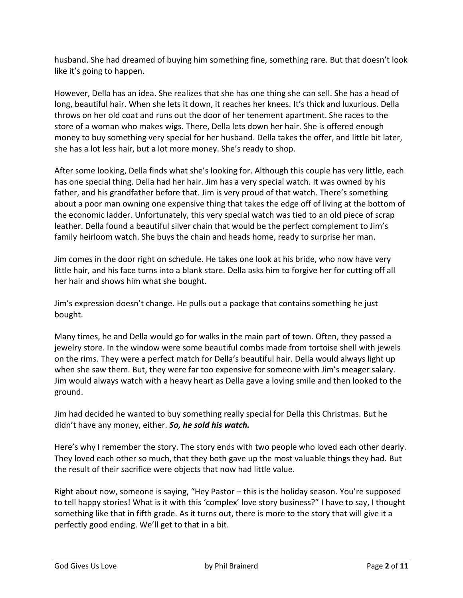husband. She had dreamed of buying him something fine, something rare. But that doesn't look like it's going to happen.

However, Della has an idea. She realizes that she has one thing she can sell. She has a head of long, beautiful hair. When she lets it down, it reaches her knees. It's thick and luxurious. Della throws on her old coat and runs out the door of her tenement apartment. She races to the store of a woman who makes wigs. There, Della lets down her hair. She is offered enough money to buy something very special for her husband. Della takes the offer, and little bit later, she has a lot less hair, but a lot more money. She's ready to shop.

After some looking, Della finds what she's looking for. Although this couple has very little, each has one special thing. Della had her hair. Jim has a very special watch. It was owned by his father, and his grandfather before that. Jim is very proud of that watch. There's something about a poor man owning one expensive thing that takes the edge off of living at the bottom of the economic ladder. Unfortunately, this very special watch was tied to an old piece of scrap leather. Della found a beautiful silver chain that would be the perfect complement to Jim's family heirloom watch. She buys the chain and heads home, ready to surprise her man.

Jim comes in the door right on schedule. He takes one look at his bride, who now have very little hair, and his face turns into a blank stare. Della asks him to forgive her for cutting off all her hair and shows him what she bought.

Jim's expression doesn't change. He pulls out a package that contains something he just bought.

Many times, he and Della would go for walks in the main part of town. Often, they passed a jewelry store. In the window were some beautiful combs made from tortoise shell with jewels on the rims. They were a perfect match for Della's beautiful hair. Della would always light up when she saw them. But, they were far too expensive for someone with Jim's meager salary. Jim would always watch with a heavy heart as Della gave a loving smile and then looked to the ground.

Jim had decided he wanted to buy something really special for Della this Christmas. But he didn't have any money, either. *So, he sold his watch.*

Here's why I remember the story. The story ends with two people who loved each other dearly. They loved each other so much, that they both gave up the most valuable things they had. But the result of their sacrifice were objects that now had little value.

Right about now, someone is saying, "Hey Pastor – this is the holiday season. You're supposed to tell happy stories! What is it with this 'complex' love story business?" I have to say, I thought something like that in fifth grade. As it turns out, there is more to the story that will give it a perfectly good ending. We'll get to that in a bit.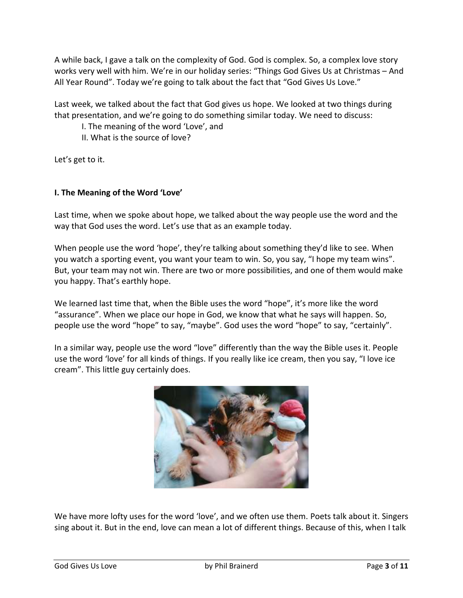A while back, I gave a talk on the complexity of God. God is complex. So, a complex love story works very well with him. We're in our holiday series: "Things God Gives Us at Christmas – And All Year Round". Today we're going to talk about the fact that "God Gives Us Love."

Last week, we talked about the fact that God gives us hope. We looked at two things during that presentation, and we're going to do something similar today. We need to discuss:

I. The meaning of the word 'Love', and

II. What is the source of love?

Let's get to it.

## **I. The Meaning of the Word 'Love'**

Last time, when we spoke about hope, we talked about the way people use the word and the way that God uses the word. Let's use that as an example today.

When people use the word 'hope', they're talking about something they'd like to see. When you watch a sporting event, you want your team to win. So, you say, "I hope my team wins". But, your team may not win. There are two or more possibilities, and one of them would make you happy. That's earthly hope.

We learned last time that, when the Bible uses the word "hope", it's more like the word "assurance". When we place our hope in God, we know that what he says will happen. So, people use the word "hope" to say, "maybe". God uses the word "hope" to say, "certainly".

In a similar way, people use the word "love" differently than the way the Bible uses it. People use the word 'love' for all kinds of things. If you really like ice cream, then you say, "I love ice cream". This little guy certainly does.



We have more lofty uses for the word 'love', and we often use them. Poets talk about it. Singers sing about it. But in the end, love can mean a lot of different things. Because of this, when I talk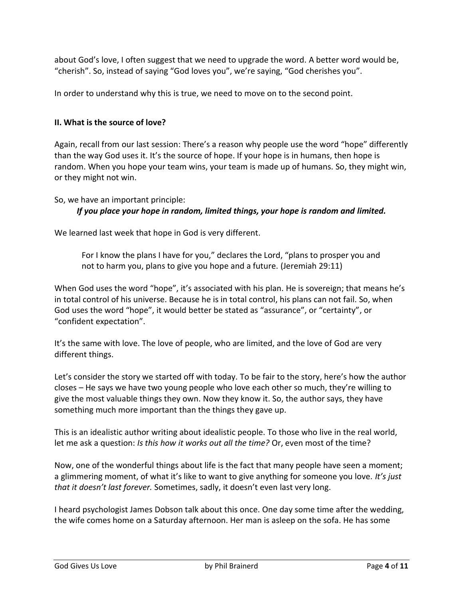about God's love, I often suggest that we need to upgrade the word. A better word would be, "cherish". So, instead of saying "God loves you", we're saying, "God cherishes you".

In order to understand why this is true, we need to move on to the second point.

# **II. What is the source of love?**

Again, recall from our last session: There's a reason why people use the word "hope" differently than the way God uses it. It's the source of hope. If your hope is in humans, then hope is random. When you hope your team wins, your team is made up of humans. So, they might win, or they might not win.

So, we have an important principle:

## *If you place your hope in random, limited things, your hope is random and limited.*

We learned last week that hope in God is very different.

For I know the plans I have for you," declares the Lord, "plans to prosper you and not to harm you, plans to give you hope and a future. (Jeremiah 29:11)

When God uses the word "hope", it's associated with his plan. He is sovereign; that means he's in total control of his universe. Because he is in total control, his plans can not fail. So, when God uses the word "hope", it would better be stated as "assurance", or "certainty", or "confident expectation".

It's the same with love. The love of people, who are limited, and the love of God are very different things.

Let's consider the story we started off with today. To be fair to the story, here's how the author closes – He says we have two young people who love each other so much, they're willing to give the most valuable things they own. Now they know it. So, the author says, they have something much more important than the things they gave up.

This is an idealistic author writing about idealistic people. To those who live in the real world, let me ask a question: *Is this how it works out all the time?* Or, even most of the time?

Now, one of the wonderful things about life is the fact that many people have seen a moment; a glimmering moment, of what it's like to want to give anything for someone you love. *It's just that it doesn't last forever.* Sometimes, sadly, it doesn't even last very long.

I heard psychologist James Dobson talk about this once. One day some time after the wedding, the wife comes home on a Saturday afternoon. Her man is asleep on the sofa. He has some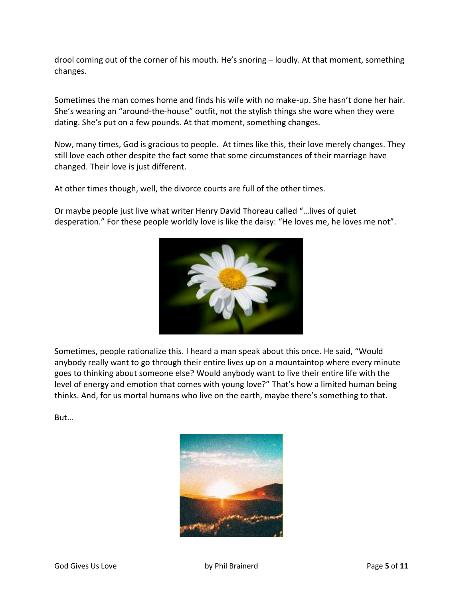drool coming out of the corner of his mouth. He's snoring – loudly. At that moment, something changes.

Sometimes the man comes home and finds his wife with no make-up. She hasn't done her hair. She's wearing an "around-the-house" outfit, not the stylish things she wore when they were dating. She's put on a few pounds. At that moment, something changes.

Now, many times, God is gracious to people. At times like this, their love merely changes. They still love each other despite the fact some that some circumstances of their marriage have changed. Their love is just different.

At other times though, well, the divorce courts are full of the other times.

Or maybe people just live what writer Henry David Thoreau called "…lives of quiet desperation." For these people worldly love is like the daisy: "He loves me, he loves me not".



Sometimes, people rationalize this. I heard a man speak about this once. He said, "Would anybody really want to go through their entire lives up on a mountaintop where every minute goes to thinking about someone else? Would anybody want to live their entire life with the level of energy and emotion that comes with young love?" That's how a limited human being thinks. And, for us mortal humans who live on the earth, maybe there's something to that.

But…

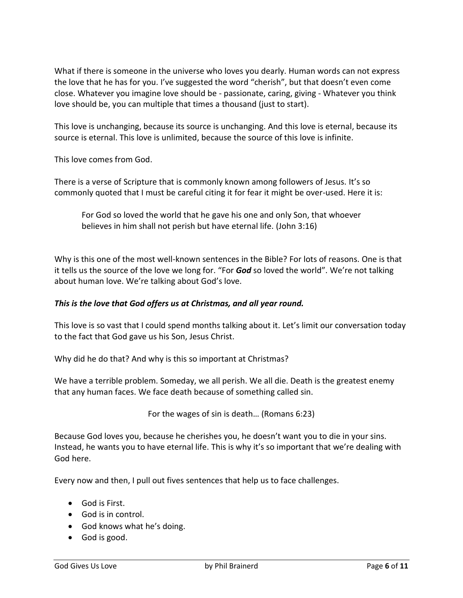What if there is someone in the universe who loves you dearly. Human words can not express the love that he has for you. I've suggested the word "cherish", but that doesn't even come close. Whatever you imagine love should be - passionate, caring, giving - Whatever you think love should be, you can multiple that times a thousand (just to start).

This love is unchanging, because its source is unchanging. And this love is eternal, because its source is eternal. This love is unlimited, because the source of this love is infinite.

This love comes from God.

There is a verse of Scripture that is commonly known among followers of Jesus. It's so commonly quoted that I must be careful citing it for fear it might be over-used. Here it is:

For God so loved the world that he gave his one and only Son, that whoever believes in him shall not perish but have eternal life. (John 3:16)

Why is this one of the most well-known sentences in the Bible? For lots of reasons. One is that it tells us the source of the love we long for. "For *God* so loved the world". We're not talking about human love. We're talking about God's love.

### *This is the love that God offers us at Christmas, and all year round.*

This love is so vast that I could spend months talking about it. Let's limit our conversation today to the fact that God gave us his Son, Jesus Christ.

Why did he do that? And why is this so important at Christmas?

We have a terrible problem. Someday, we all perish. We all die. Death is the greatest enemy that any human faces. We face death because of something called sin.

For the wages of sin is death… (Romans 6:23)

Because God loves you, because he cherishes you, he doesn't want you to die in your sins. Instead, he wants you to have eternal life. This is why it's so important that we're dealing with God here.

Every now and then, I pull out fives sentences that help us to face challenges.

- God is First.
- God is in control.
- God knows what he's doing.
- God is good.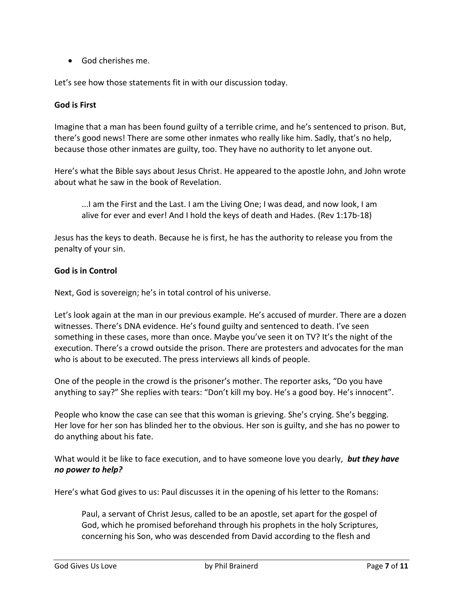• God cherishes me.

Let's see how those statements fit in with our discussion today.

#### **God is First**

Imagine that a man has been found guilty of a terrible crime, and he's sentenced to prison. But, there's good news! There are some other inmates who really like him. Sadly, that's no help, because those other inmates are guilty, too. They have no authority to let anyone out.

Here's what the Bible says about Jesus Christ. He appeared to the apostle John, and John wrote about what he saw in the book of Revelation.

...I am the First and the Last. I am the Living One; I was dead, and now look, I am alive for ever and ever! And I hold the keys of death and Hades. (Rev 1:17b-18)

Jesus has the keys to death. Because he is first, he has the authority to release you from the penalty of your sin.

#### **God is in Control**

Next, God is sovereign; he's in total control of his universe.

Let's look again at the man in our previous example. He's accused of murder. There are a dozen witnesses. There's DNA evidence. He's found guilty and sentenced to death. I've seen something in these cases, more than once. Maybe you've seen it on TV? It's the night of the execution. There's a crowd outside the prison. There are protesters and advocates for the man who is about to be executed. The press interviews all kinds of people.

One of the people in the crowd is the prisoner's mother. The reporter asks, "Do you have anything to say?" She replies with tears: "Don't kill my boy. He's a good boy. He's innocent".

People who know the case can see that this woman is grieving. She's crying. She's begging. Her love for her son has blinded her to the obvious. Her son is guilty, and she has no power to do anything about his fate.

What would it be like to face execution, and to have someone love you dearly, *but they have no power to help?*

Here's what God gives to us: Paul discusses it in the opening of his letter to the Romans:

Paul, a servant of Christ Jesus, called to be an apostle, set apart for the gospel of God, which he promised beforehand through his prophets in the holy Scriptures, concerning his Son, who was descended from David according to the flesh and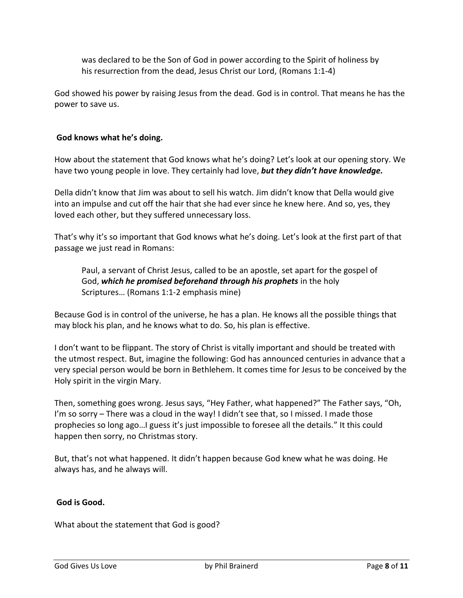was declared to be the Son of God in power according to the Spirit of holiness by his resurrection from the dead, Jesus Christ our Lord, (Romans 1:1-4)

God showed his power by raising Jesus from the dead. God is in control. That means he has the power to save us.

### **God knows what he's doing.**

How about the statement that God knows what he's doing? Let's look at our opening story. We have two young people in love. They certainly had love, *but they didn't have knowledge.*

Della didn't know that Jim was about to sell his watch. Jim didn't know that Della would give into an impulse and cut off the hair that she had ever since he knew here. And so, yes, they loved each other, but they suffered unnecessary loss.

That's why it's so important that God knows what he's doing. Let's look at the first part of that passage we just read in Romans:

Paul, a servant of Christ Jesus, called to be an apostle, set apart for the gospel of God, *which he promised beforehand through his prophets* in the holy Scriptures… (Romans 1:1-2 emphasis mine)

Because God is in control of the universe, he has a plan. He knows all the possible things that may block his plan, and he knows what to do. So, his plan is effective.

I don't want to be flippant. The story of Christ is vitally important and should be treated with the utmost respect. But, imagine the following: God has announced centuries in advance that a very special person would be born in Bethlehem. It comes time for Jesus to be conceived by the Holy spirit in the virgin Mary.

Then, something goes wrong. Jesus says, "Hey Father, what happened?" The Father says, "Oh, I'm so sorry – There was a cloud in the way! I didn't see that, so I missed. I made those prophecies so long ago…I guess it's just impossible to foresee all the details." It this could happen then sorry, no Christmas story.

But, that's not what happened. It didn't happen because God knew what he was doing. He always has, and he always will.

#### **God is Good.**

What about the statement that God is good?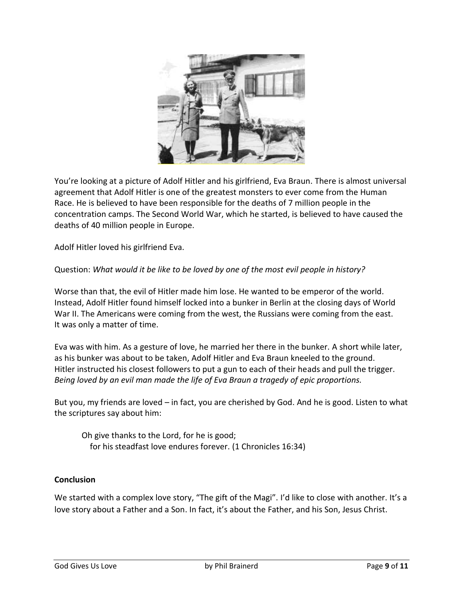

You're looking at a picture of Adolf Hitler and his girlfriend, Eva Braun. There is almost universal agreement that Adolf Hitler is one of the greatest monsters to ever come from the Human Race. He is believed to have been responsible for the deaths of 7 million people in the concentration camps. The Second World War, which he started, is believed to have caused the deaths of 40 million people in Europe.

Adolf Hitler loved his girlfriend Eva.

### Question: *What would it be like to be loved by one of the most evil people in history?*

Worse than that, the evil of Hitler made him lose. He wanted to be emperor of the world. Instead, Adolf Hitler found himself locked into a bunker in Berlin at the closing days of World War II. The Americans were coming from the west, the Russians were coming from the east. It was only a matter of time.

Eva was with him. As a gesture of love, he married her there in the bunker. A short while later, as his bunker was about to be taken, Adolf Hitler and Eva Braun kneeled to the ground. Hitler instructed his closest followers to put a gun to each of their heads and pull the trigger. *Being loved by an evil man made the life of Eva Braun a tragedy of epic proportions.*

But you, my friends are loved – in fact, you are cherished by God. And he is good. Listen to what the scriptures say about him:

Oh give thanks to the Lord, for he is good; for his steadfast love endures forever. (1 Chronicles 16:34)

#### **Conclusion**

We started with a complex love story, "The gift of the Magi". I'd like to close with another. It's a love story about a Father and a Son. In fact, it's about the Father, and his Son, Jesus Christ.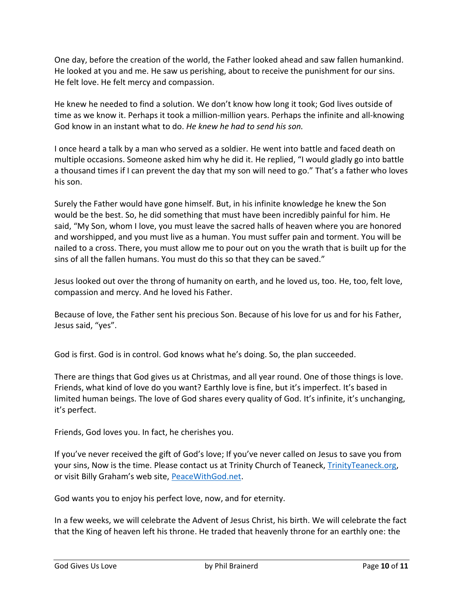One day, before the creation of the world, the Father looked ahead and saw fallen humankind. He looked at you and me. He saw us perishing, about to receive the punishment for our sins. He felt love. He felt mercy and compassion.

He knew he needed to find a solution. We don't know how long it took; God lives outside of time as we know it. Perhaps it took a million-million years. Perhaps the infinite and all-knowing God know in an instant what to do. *He knew he had to send his son.*

I once heard a talk by a man who served as a soldier. He went into battle and faced death on multiple occasions. Someone asked him why he did it. He replied, "I would gladly go into battle a thousand times if I can prevent the day that my son will need to go." That's a father who loves his son.

Surely the Father would have gone himself. But, in his infinite knowledge he knew the Son would be the best. So, he did something that must have been incredibly painful for him. He said, "My Son, whom I love, you must leave the sacred halls of heaven where you are honored and worshipped, and you must live as a human. You must suffer pain and torment. You will be nailed to a cross. There, you must allow me to pour out on you the wrath that is built up for the sins of all the fallen humans. You must do this so that they can be saved."

Jesus looked out over the throng of humanity on earth, and he loved us, too. He, too, felt love, compassion and mercy. And he loved his Father.

Because of love, the Father sent his precious Son. Because of his love for us and for his Father, Jesus said, "yes".

God is first. God is in control. God knows what he's doing. So, the plan succeeded.

There are things that God gives us at Christmas, and all year round. One of those things is love. Friends, what kind of love do you want? Earthly love is fine, but it's imperfect. It's based in limited human beings. The love of God shares every quality of God. It's infinite, it's unchanging, it's perfect.

Friends, God loves you. In fact, he cherishes you.

If you've never received the gift of God's love; If you've never called on Jesus to save you from your sins, Now is the time. Please contact us at Trinity Church of Teaneck, [TrinityTeaneck.org,](https://www.trinityteaneck.org/) or visit Billy Graham's web site, [PeaceWithGod.net.](https://peacewithgod.net/)

God wants you to enjoy his perfect love, now, and for eternity.

In a few weeks, we will celebrate the Advent of Jesus Christ, his birth. We will celebrate the fact that the King of heaven left his throne. He traded that heavenly throne for an earthly one: the